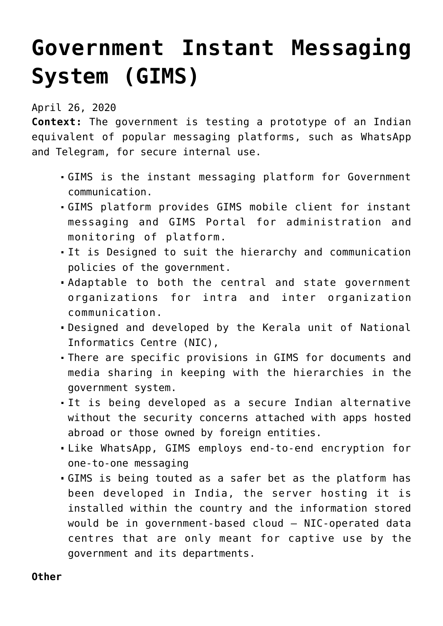## **[Government Instant Messaging](https://journalsofindia.com/government-instant-messaging-system-gims/) [System \(GIMS\)](https://journalsofindia.com/government-instant-messaging-system-gims/)**

April 26, 2020

**Context:** The government is testing a prototype of an Indian equivalent of popular messaging platforms, such as WhatsApp and Telegram, for secure internal use.

- GIMS is the instant messaging platform for Government communication.
- GIMS platform provides GIMS mobile client for instant messaging and GIMS Portal for administration and monitoring of platform.
- It is Designed to suit the hierarchy and communication policies of the government.
- Adaptable to both the central and state government organizations for intra and inter organization communication.
- Designed and developed by the Kerala unit of National Informatics Centre (NIC),
- There are specific provisions in GIMS for documents and media sharing in keeping with the hierarchies in the government system.
- It is being developed as a secure Indian alternative without the security concerns attached with apps hosted abroad or those owned by foreign entities.
- Like WhatsApp, GIMS employs end-to-end encryption for one-to-one messaging
- GIMS is being touted as a safer bet as the platform has been developed in India, the server hosting it is installed within the country and the information stored would be in government-based cloud — NIC-operated data centres that are only meant for captive use by the government and its departments.